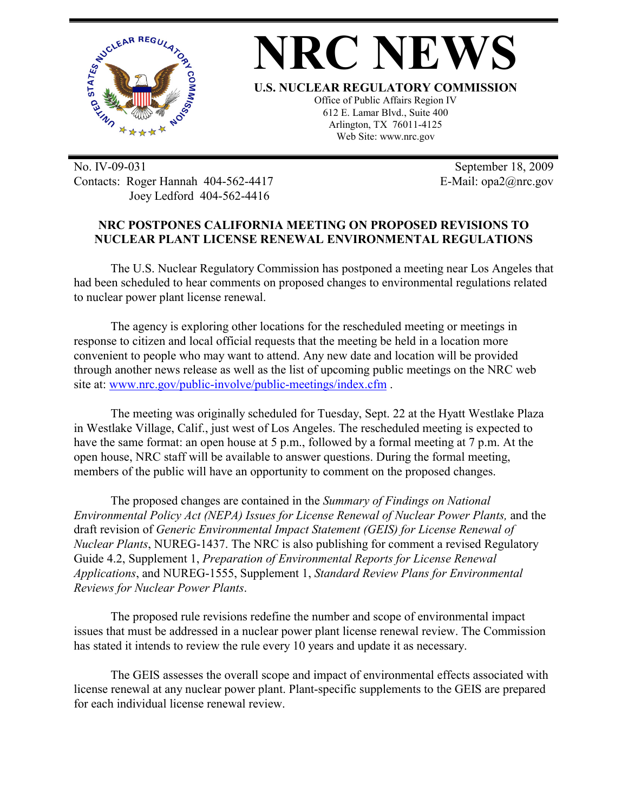



**U.S. NUCLEAR REGULATORY COMMISSION**

Office of Public Affairs Region IV 612 E. Lamar Blvd., Suite 400 Arlington, TX 76011-4125 Web Site: www.nrc.gov

No. IV-09-031 Contacts: Roger Hannah 404-562-4417 Joey Ledford 404-562-4416

 September 18, 2009 E-Mail: opa2@nrc.gov

## **NRC POSTPONES CALIFORNIA MEETING ON PROPOSED REVISIONS TO NUCLEAR PLANT LICENSE RENEWAL ENVIRONMENTAL REGULATIONS**

The U.S. Nuclear Regulatory Commission has postponed a meeting near Los Angeles that had been scheduled to hear comments on proposed changes to environmental regulations related to nuclear power plant license renewal.

The agency is exploring other locations for the rescheduled meeting or meetings in response to citizen and local official requests that the meeting be held in a location more convenient to people who may want to attend. Any new date and location will be provided through another news release as well as the list of upcoming public meetings on the NRC web site at: www.nrc.gov/public-involve/public-meetings/index.cfm .

The meeting was originally scheduled for Tuesday, Sept. 22 at the Hyatt Westlake Plaza in Westlake Village, Calif., just west of Los Angeles. The rescheduled meeting is expected to have the same format: an open house at 5 p.m., followed by a formal meeting at 7 p.m. At the open house, NRC staff will be available to answer questions. During the formal meeting, members of the public will have an opportunity to comment on the proposed changes.

The proposed changes are contained in the *Summary of Findings on National Environmental Policy Act (NEPA) Issues for License Renewal of Nuclear Power Plants,* and the draft revision of *Generic Environmental Impact Statement (GEIS) for License Renewal of Nuclear Plants*, NUREG-1437. The NRC is also publishing for comment a revised Regulatory Guide 4.2, Supplement 1, *Preparation of Environmental Reports for License Renewal Applications*, and NUREG-1555, Supplement 1, *Standard Review Plans for Environmental Reviews for Nuclear Power Plants*.

The proposed rule revisions redefine the number and scope of environmental impact issues that must be addressed in a nuclear power plant license renewal review. The Commission has stated it intends to review the rule every 10 years and update it as necessary.

The GEIS assesses the overall scope and impact of environmental effects associated with license renewal at any nuclear power plant. Plant-specific supplements to the GEIS are prepared for each individual license renewal review.